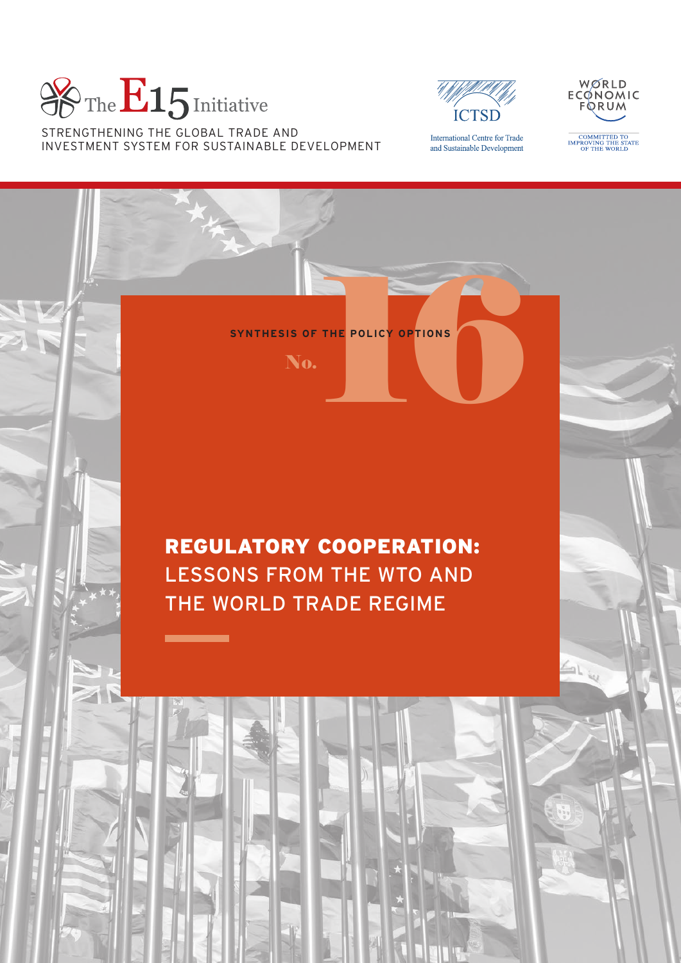

STRENGTHENING THE GLOBAL TRADE AND INVESTMENT SYSTEM FOR SUSTAINABLE DEVELOPMENT



**International Centre for Trade** and Sustainable Development

IS OF THE POLICY OPTIONS<br>No.



REGULATORY COOPERATION: LESSONS FROM THE WTO AND THE WORLD TRADE REGIME

**SYNTHESIS OF THE POLICY OPTIONS**

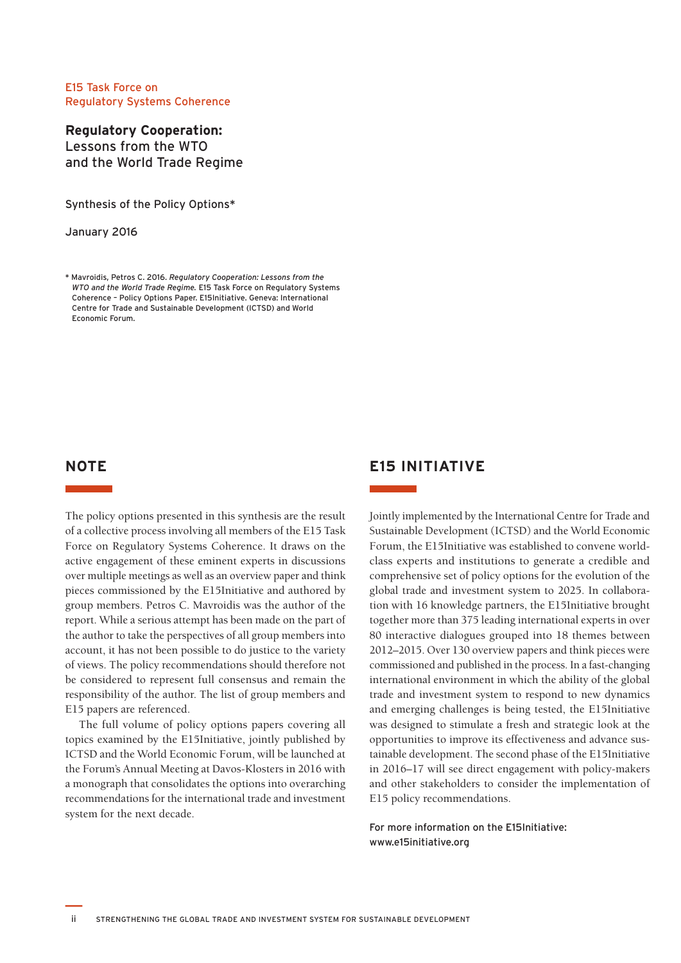#### E15 Task Force on Regulatory Systems Coherence

**Regulatory Cooperation:**  Lessons from the WTO and the World Trade Regime

Synthesis of the Policy Options\*

January 2016

\* Mavroidis, Petros C. 2016. *Regulatory Cooperation: Lessons from the WTO and the World Trade Regime.* E15 Task Force on Regulatory Systems Coherence – Policy Options Paper. E15Initiative. Geneva: International Centre for Trade and Sustainable Development (ICTSD) and World Economic Forum.

## **NOTE**

The policy options presented in this synthesis are the result of a collective process involving all members of the E15 Task Force on Regulatory Systems Coherence. It draws on the active engagement of these eminent experts in discussions over multiple meetings as well as an overview paper and think pieces commissioned by the E15Initiative and authored by group members. Petros C. Mavroidis was the author of the report. While a serious attempt has been made on the part of the author to take the perspectives of all group members into account, it has not been possible to do justice to the variety of views. The policy recommendations should therefore not be considered to represent full consensus and remain the responsibility of the author. The list of group members and E15 papers are referenced.

The full volume of policy options papers covering all topics examined by the E15Initiative, jointly published by ICTSD and the World Economic Forum, will be launched at the Forum's Annual Meeting at Davos-Klosters in 2016 with a monograph that consolidates the options into overarching recommendations for the international trade and investment system for the next decade.

## **E15 INITIATIVE**

Jointly implemented by the International Centre for Trade and Sustainable Development (ICTSD) and the World Economic Forum, the E15Initiative was established to convene worldclass experts and institutions to generate a credible and comprehensive set of policy options for the evolution of the global trade and investment system to 2025. In collaboration with 16 knowledge partners, the E15Initiative brought together more than 375 leading international experts in over 80 interactive dialogues grouped into 18 themes between 2012–2015. Over 130 overview papers and think pieces were commissioned and published in the process. In a fast-changing international environment in which the ability of the global trade and investment system to respond to new dynamics and emerging challenges is being tested, the E15Initiative was designed to stimulate a fresh and strategic look at the opportunities to improve its effectiveness and advance sustainable development. The second phase of the E15Initiative in 2016–17 will see direct engagement with policy-makers and other stakeholders to consider the implementation of E15 policy recommendations.

For more information on the E15Initiative: www.e15initiative.org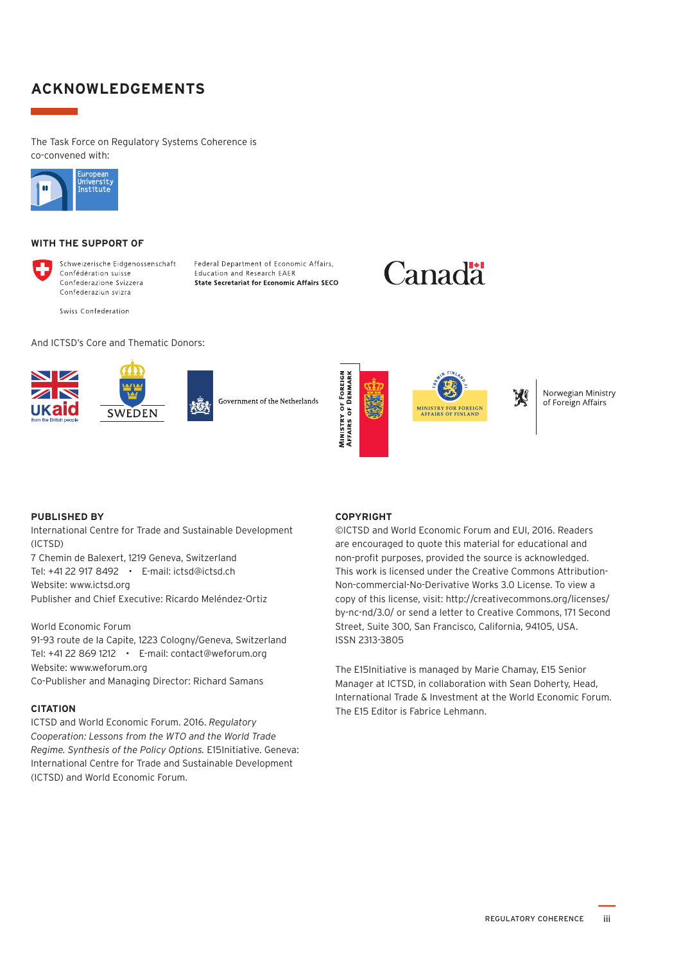# **ACKNOWLEDGEMENTS**

The Task Force on Regulatory Systems Coherence is co-convened with:



#### **WITH THE SUPPORT OF**



Schweizerische Eidgenossenschaft Confédération suisse Confederazione Svizzera Confederaziun svizra

Swiss Confederation

Federal Department of Economic Affairs, Education and Research EAER **State Secretariat for Economic Affairs SECO** 



And ICTSD's Core and Thematic Donors:





Government of the Netherlands



Norwegian Ministry of Foreign Affairs

#### **PUBLISHED BY**

International Centre for Trade and Sustainable Development (ICTSD)

7 Chemin de Balexert, 1219 Geneva, Switzerland Tel: +41 22 917 8492 • E-mail: ictsd@ictsd.ch Website: www.ictsd.org Publisher and Chief Executive: Ricardo Meléndez-Ortiz

#### World Economic Forum

91-93 route de la Capite, 1223 Cologny/Geneva, Switzerland Tel: +41 22 869 1212 • E-mail: contact@weforum.org Website: www.weforum.org Co-Publisher and Managing Director: Richard Samans

#### **CITATION**

ICTSD and World Economic Forum. 2016. *Regulatory Cooperation: Lessons from the WTO and the World Trade Regime. Synthesis of the Policy Options.* E15Initiative. Geneva: International Centre for Trade and Sustainable Development (ICTSD) and World Economic Forum.

#### **COPYRIGHT**

©ICTSD and World Economic Forum and EUI, 2016. Readers are encouraged to quote this material for educational and non-profit purposes, provided the source is acknowledged. This work is licensed under the Creative Commons Attribution-Non-commercial-No-Derivative Works 3.0 License. To view a copy of this license, visit: http://creativecommons.org/licenses/ by-nc-nd/3.0/ or send a letter to Creative Commons, 171 Second Street, Suite 300, San Francisco, California, 94105, USA. ISSN 2313-3805

The E15Initiative is managed by Marie Chamay, E15 Senior Manager at ICTSD, in collaboration with Sean Doherty, Head, International Trade & Investment at the World Economic Forum. The E15 Editor is Fabrice Lehmann.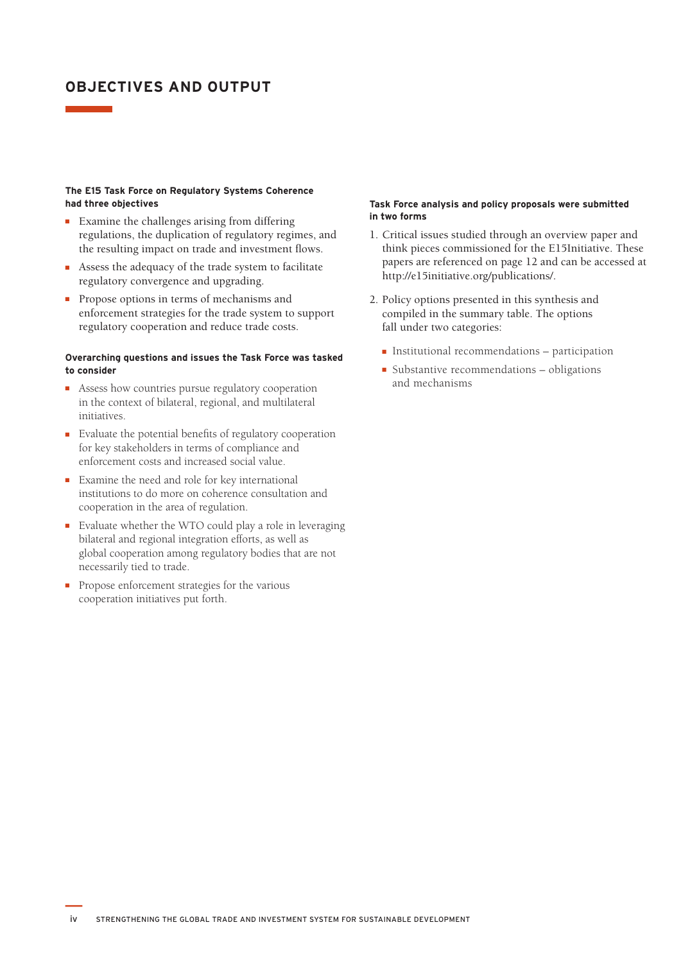# **OBJECTIVES AND OUTPUT**

#### **The E15 Task Force on Regulatory Systems Coherence had three objectives**

- Examine the challenges arising from differing regulations, the duplication of regulatory regimes, and the resulting impact on trade and investment flows.
- Assess the adequacy of the trade system to facilitate regulatory convergence and upgrading.
- Propose options in terms of mechanisms and enforcement strategies for the trade system to support regulatory cooperation and reduce trade costs.

#### **Overarching questions and issues the Task Force was tasked to consider**

- Assess how countries pursue regulatory cooperation in the context of bilateral, regional, and multilateral initiatives.
- Evaluate the potential benefits of regulatory cooperation for key stakeholders in terms of compliance and enforcement costs and increased social value.
- Examine the need and role for key international institutions to do more on coherence consultation and cooperation in the area of regulation.
- Evaluate whether the WTO could play a role in leveraging bilateral and regional integration efforts, as well as global cooperation among regulatory bodies that are not necessarily tied to trade.
- Propose enforcement strategies for the various cooperation initiatives put forth.

#### **Task Force analysis and policy proposals were submitted in two forms**

- 1. Critical issues studied through an overview paper and think pieces commissioned for the E15Initiative. These papers are referenced on page 12 and can be accessed at http://e15initiative.org/publications/.
- 2. Policy options presented in this synthesis and compiled in the summary table. The options fall under two categories:
	- Institutional recommendations participation
	- ■■ Substantive recommendations obligations and mechanisms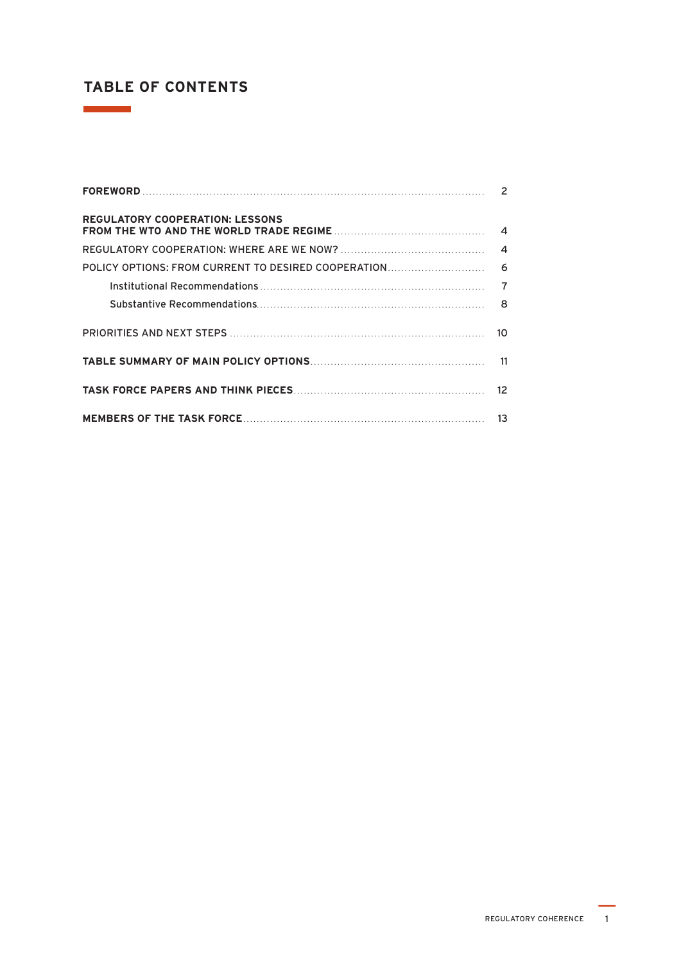# **TABLE OF CONTENTS**

 $\mathcal{L}^{\text{max}}_{\text{max}}$  and  $\mathcal{L}^{\text{max}}_{\text{max}}$ 

| <b>REGULATORY COOPERATION: LESSONS</b> |  |  |  |
|----------------------------------------|--|--|--|
|                                        |  |  |  |
|                                        |  |  |  |
|                                        |  |  |  |
|                                        |  |  |  |
|                                        |  |  |  |
|                                        |  |  |  |
|                                        |  |  |  |
|                                        |  |  |  |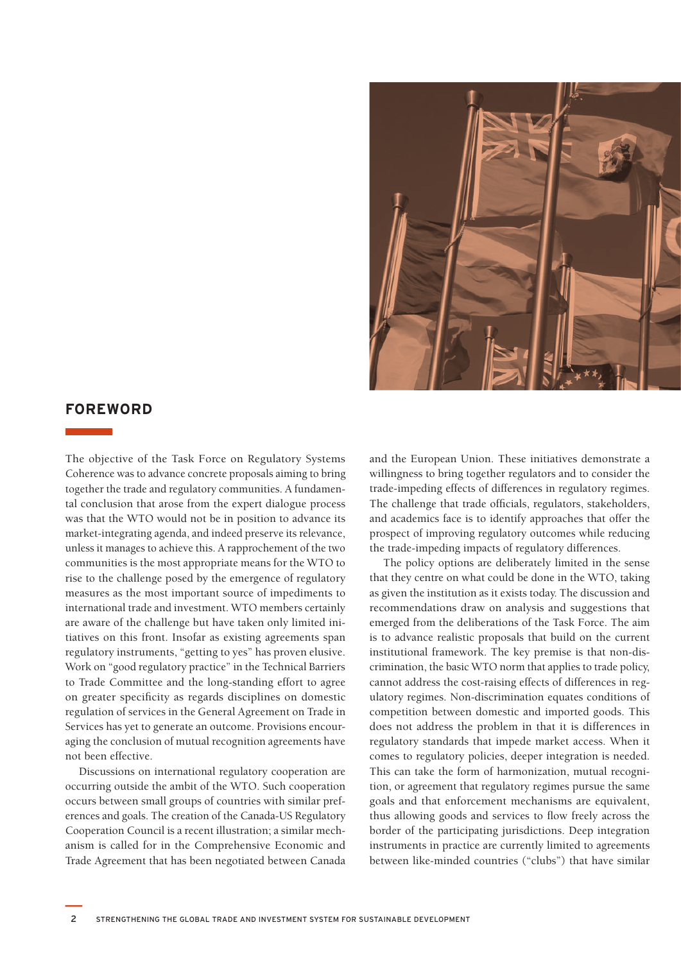

## **FOREWORD**

The objective of the Task Force on Regulatory Systems Coherence was to advance concrete proposals aiming to bring together the trade and regulatory communities. A fundamental conclusion that arose from the expert dialogue process was that the WTO would not be in position to advance its market-integrating agenda, and indeed preserve its relevance, unless it manages to achieve this. A rapprochement of the two communities is the most appropriate means for the WTO to rise to the challenge posed by the emergence of regulatory measures as the most important source of impediments to international trade and investment. WTO members certainly are aware of the challenge but have taken only limited initiatives on this front. Insofar as existing agreements span regulatory instruments, "getting to yes" has proven elusive. Work on "good regulatory practice" in the Technical Barriers to Trade Committee and the long-standing effort to agree on greater specificity as regards disciplines on domestic regulation of services in the General Agreement on Trade in Services has yet to generate an outcome. Provisions encouraging the conclusion of mutual recognition agreements have not been effective.

Discussions on international regulatory cooperation are occurring outside the ambit of the WTO. Such cooperation occurs between small groups of countries with similar preferences and goals. The creation of the Canada-US Regulatory Cooperation Council is a recent illustration; a similar mechanism is called for in the Comprehensive Economic and Trade Agreement that has been negotiated between Canada

and the European Union. These initiatives demonstrate a willingness to bring together regulators and to consider the trade-impeding effects of differences in regulatory regimes. The challenge that trade officials, regulators, stakeholders, and academics face is to identify approaches that offer the prospect of improving regulatory outcomes while reducing the trade-impeding impacts of regulatory differences.

The policy options are deliberately limited in the sense that they centre on what could be done in the WTO, taking as given the institution as it exists today. The discussion and recommendations draw on analysis and suggestions that emerged from the deliberations of the Task Force. The aim is to advance realistic proposals that build on the current institutional framework. The key premise is that non-discrimination, the basic WTO norm that applies to trade policy, cannot address the cost-raising effects of differences in regulatory regimes. Non-discrimination equates conditions of competition between domestic and imported goods. This does not address the problem in that it is differences in regulatory standards that impede market access. When it comes to regulatory policies, deeper integration is needed. This can take the form of harmonization, mutual recognition, or agreement that regulatory regimes pursue the same goals and that enforcement mechanisms are equivalent, thus allowing goods and services to flow freely across the border of the participating jurisdictions. Deep integration instruments in practice are currently limited to agreements between like-minded countries ("clubs") that have similar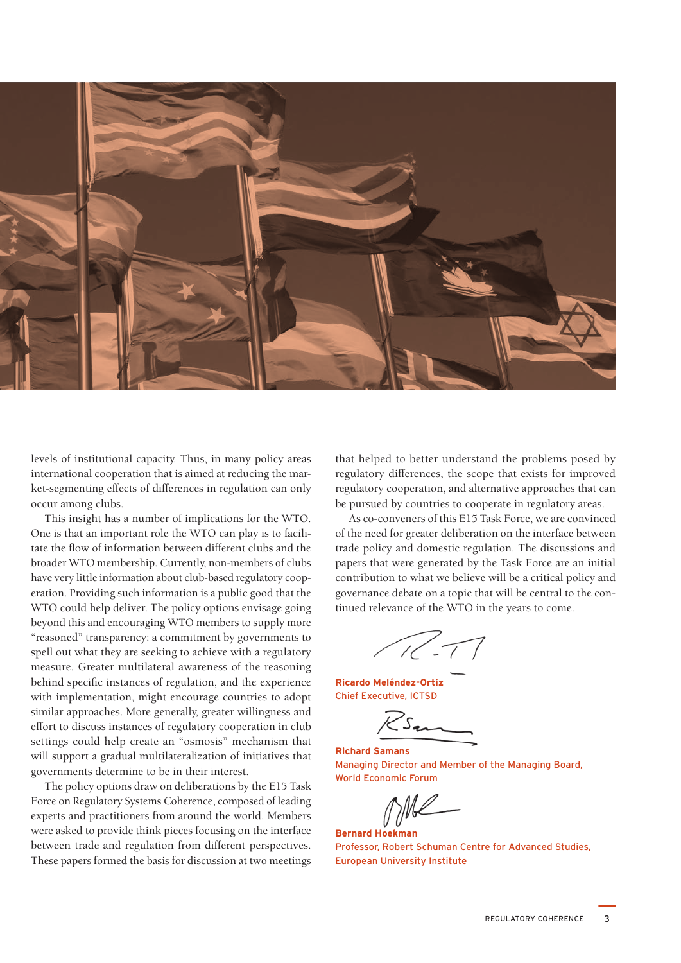

levels of institutional capacity. Thus, in many policy areas international cooperation that is aimed at reducing the market-segmenting effects of differences in regulation can only occur among clubs.

This insight has a number of implications for the WTO. One is that an important role the WTO can play is to facilitate the flow of information between different clubs and the broader WTO membership. Currently, non-members of clubs have very little information about club-based regulatory cooperation. Providing such information is a public good that the WTO could help deliver. The policy options envisage going beyond this and encouraging WTO members to supply more "reasoned" transparency: a commitment by governments to spell out what they are seeking to achieve with a regulatory measure. Greater multilateral awareness of the reasoning behind specific instances of regulation, and the experience with implementation, might encourage countries to adopt similar approaches. More generally, greater willingness and effort to discuss instances of regulatory cooperation in club settings could help create an "osmosis" mechanism that will support a gradual multilateralization of initiatives that governments determine to be in their interest.

The policy options draw on deliberations by the E15 Task Force on Regulatory Systems Coherence, composed of leading experts and practitioners from around the world. Members were asked to provide think pieces focusing on the interface between trade and regulation from different perspectives. These papers formed the basis for discussion at two meetings

that helped to better understand the problems posed by regulatory differences, the scope that exists for improved regulatory cooperation, and alternative approaches that can be pursued by countries to cooperate in regulatory areas.

As co-conveners of this E15 Task Force, we are convinced of the need for greater deliberation on the interface between trade policy and domestic regulation. The discussions and papers that were generated by the Task Force are an initial contribution to what we believe will be a critical policy and governance debate on a topic that will be central to the continued relevance of the WTO in the years to come.

 $77-77$ 

**Ricardo Meléndez-Ortiz** Chief Executive, ICTSD

**Richard Samans**  Managing Director and Member of the Managing Board, World Economic Forum

**Bernard Hoekman** Professor, Robert Schuman Centre for Advanced Studies, European University Institute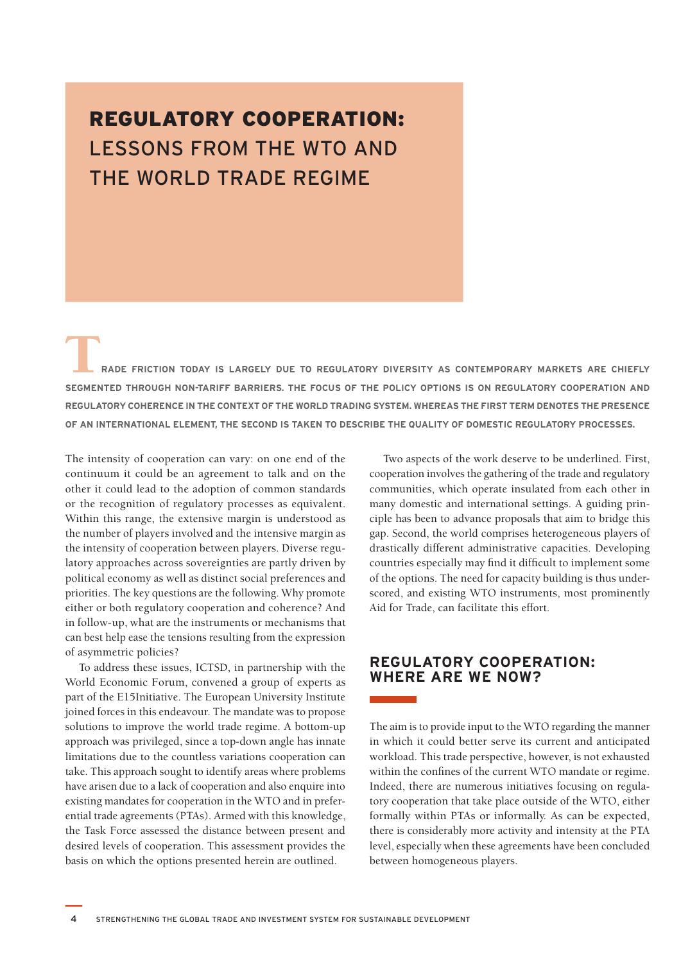# REGULATORY COOPERATION: LESSONS FROM THE WTO AND THE WORLD TRADE REGIME

T**RADE FRICTION TODAY IS LARGELY DUE TO REGULATORY DIVERSITY AS CONTEMPORARY MARKETS ARE CHIEFLY SEGMENTED THROUGH NON-TARIFF BARRIERS. THE FOCUS OF THE POLICY OPTIONS IS ON REGULATORY COOPERATION AND REGULATORY COHERENCE IN THE CONTEXT OF THE WORLD TRADING SYSTEM. WHEREAS THE FIRST TERM DENOTES THE PRESENCE OF AN INTERNATIONAL ELEMENT, THE SECOND IS TAKEN TO DESCRIBE THE QUALITY OF DOMESTIC REGULATORY PROCESSES.** 

The intensity of cooperation can vary: on one end of the continuum it could be an agreement to talk and on the other it could lead to the adoption of common standards or the recognition of regulatory processes as equivalent. Within this range, the extensive margin is understood as the number of players involved and the intensive margin as the intensity of cooperation between players. Diverse regulatory approaches across sovereignties are partly driven by political economy as well as distinct social preferences and priorities. The key questions are the following. Why promote either or both regulatory cooperation and coherence? And in follow-up, what are the instruments or mechanisms that can best help ease the tensions resulting from the expression of asymmetric policies?

To address these issues, ICTSD, in partnership with the World Economic Forum, convened a group of experts as part of the E15Initiative. The European University Institute joined forces in this endeavour. The mandate was to propose solutions to improve the world trade regime. A bottom-up approach was privileged, since a top-down angle has innate limitations due to the countless variations cooperation can take. This approach sought to identify areas where problems have arisen due to a lack of cooperation and also enquire into existing mandates for cooperation in the WTO and in preferential trade agreements (PTAs). Armed with this knowledge, the Task Force assessed the distance between present and desired levels of cooperation. This assessment provides the basis on which the options presented herein are outlined.

Two aspects of the work deserve to be underlined. First, cooperation involves the gathering of the trade and regulatory communities, which operate insulated from each other in many domestic and international settings. A guiding principle has been to advance proposals that aim to bridge this gap. Second, the world comprises heterogeneous players of drastically different administrative capacities. Developing countries especially may find it difficult to implement some of the options. The need for capacity building is thus underscored, and existing WTO instruments, most prominently Aid for Trade, can facilitate this effort.

# **REGULATORY COOPERATION: WHERE ARE WE NOW?**

The aim is to provide input to the WTO regarding the manner in which it could better serve its current and anticipated workload. This trade perspective, however, is not exhausted within the confines of the current WTO mandate or regime. Indeed, there are numerous initiatives focusing on regulatory cooperation that take place outside of the WTO, either formally within PTAs or informally. As can be expected, there is considerably more activity and intensity at the PTA level, especially when these agreements have been concluded between homogeneous players.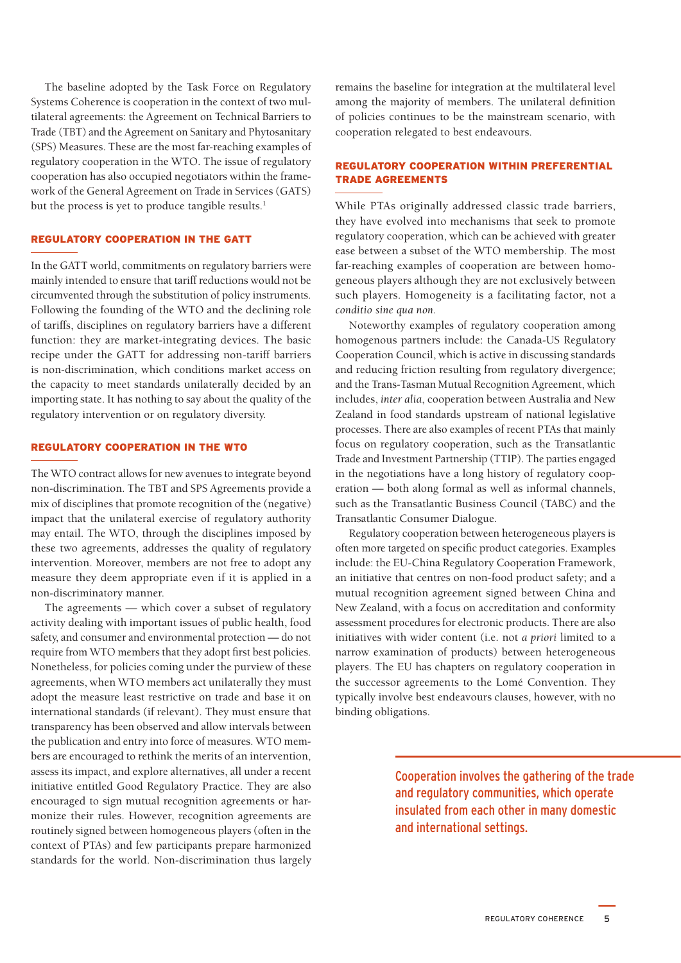The baseline adopted by the Task Force on Regulatory Systems Coherence is cooperation in the context of two multilateral agreements: the Agreement on Technical Barriers to Trade (TBT) and the Agreement on Sanitary and Phytosanitary (SPS) Measures. These are the most far-reaching examples of regulatory cooperation in the WTO. The issue of regulatory cooperation has also occupied negotiators within the framework of the General Agreement on Trade in Services (GATS) but the process is yet to produce tangible results.<sup>1</sup>

#### REGULATORY COOPERATION IN THE GATT

In the GATT world, commitments on regulatory barriers were mainly intended to ensure that tariff reductions would not be circumvented through the substitution of policy instruments. Following the founding of the WTO and the declining role of tariffs, disciplines on regulatory barriers have a different function: they are market-integrating devices. The basic recipe under the GATT for addressing non-tariff barriers is non-discrimination, which conditions market access on the capacity to meet standards unilaterally decided by an importing state. It has nothing to say about the quality of the regulatory intervention or on regulatory diversity.

#### REGULATORY COOPERATION IN THE WTO

The WTO contract allows for new avenues to integrate beyond non-discrimination. The TBT and SPS Agreements provide a mix of disciplines that promote recognition of the (negative) impact that the unilateral exercise of regulatory authority may entail. The WTO, through the disciplines imposed by these two agreements, addresses the quality of regulatory intervention. Moreover, members are not free to adopt any measure they deem appropriate even if it is applied in a non-discriminatory manner.

The agreements — which cover a subset of regulatory activity dealing with important issues of public health, food safety, and consumer and environmental protection — do not require from WTO members that they adopt first best policies. Nonetheless, for policies coming under the purview of these agreements, when WTO members act unilaterally they must adopt the measure least restrictive on trade and base it on international standards (if relevant). They must ensure that transparency has been observed and allow intervals between the publication and entry into force of measures. WTO members are encouraged to rethink the merits of an intervention, assess its impact, and explore alternatives, all under a recent initiative entitled Good Regulatory Practice. They are also encouraged to sign mutual recognition agreements or harmonize their rules. However, recognition agreements are routinely signed between homogeneous players (often in the context of PTAs) and few participants prepare harmonized standards for the world. Non-discrimination thus largely

remains the baseline for integration at the multilateral level among the majority of members. The unilateral definition of policies continues to be the mainstream scenario, with cooperation relegated to best endeavours.

#### REGULATORY COOPERATION WITHIN PREFERENTIAL TRADE AGREEMENTS

While PTAs originally addressed classic trade barriers, they have evolved into mechanisms that seek to promote regulatory cooperation, which can be achieved with greater ease between a subset of the WTO membership. The most far-reaching examples of cooperation are between homogeneous players although they are not exclusively between such players. Homogeneity is a facilitating factor, not a *conditio sine qua non.*

Noteworthy examples of regulatory cooperation among homogenous partners include: the Canada-US Regulatory Cooperation Council, which is active in discussing standards and reducing friction resulting from regulatory divergence; and the Trans-Tasman Mutual Recognition Agreement, which includes, *inter alia*, cooperation between Australia and New Zealand in food standards upstream of national legislative processes. There are also examples of recent PTAs that mainly focus on regulatory cooperation, such as the Transatlantic Trade and Investment Partnership (TTIP). The parties engaged in the negotiations have a long history of regulatory cooperation — both along formal as well as informal channels, such as the Transatlantic Business Council (TABC) and the Transatlantic Consumer Dialogue.

Regulatory cooperation between heterogeneous players is often more targeted on specific product categories. Examples include: the EU-China Regulatory Cooperation Framework, an initiative that centres on non-food product safety; and a mutual recognition agreement signed between China and New Zealand, with a focus on accreditation and conformity assessment procedures for electronic products. There are also initiatives with wider content (i.e. not *a priori* limited to a narrow examination of products) between heterogeneous players. The EU has chapters on regulatory cooperation in the successor agreements to the Lomé Convention. They typically involve best endeavours clauses, however, with no binding obligations.

> Cooperation involves the gathering of the trade and regulatory communities, which operate insulated from each other in many domestic and international settings.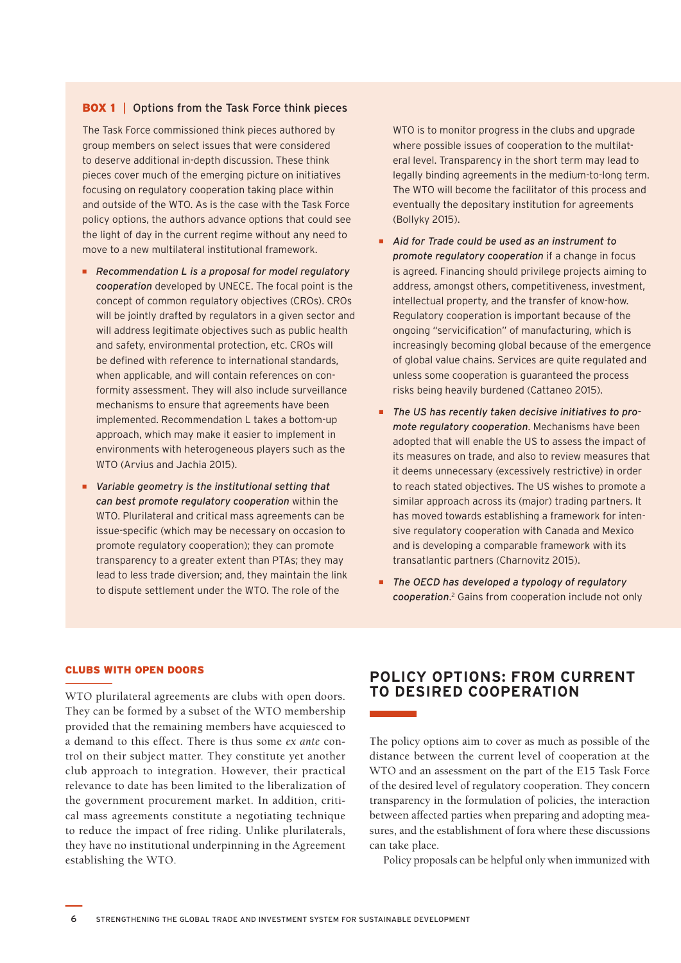#### **BOX 1** | Options from the Task Force think pieces

The Task Force commissioned think pieces authored by group members on select issues that were considered to deserve additional in-depth discussion. These think pieces cover much of the emerging picture on initiatives focusing on regulatory cooperation taking place within and outside of the WTO. As is the case with the Task Force policy options, the authors advance options that could see the light of day in the current regime without any need to move to a new multilateral institutional framework.

- *Recommendation L is a proposal for model requlatory cooperation* developed by UNECE. The focal point is the concept of common regulatory objectives (CROs). CROs will be jointly drafted by regulators in a given sector and will address legitimate objectives such as public health and safety, environmental protection, etc. CROs will be defined with reference to international standards, when applicable, and will contain references on conformity assessment. They will also include surveillance mechanisms to ensure that agreements have been implemented. Recommendation L takes a bottom-up approach, which may make it easier to implement in environments with heterogeneous players such as the WTO (Arvius and Jachia 2015).
- *Variable geometry is the institutional setting that can best promote regulatory cooperation* within the WTO. Plurilateral and critical mass agreements can be issue-specific (which may be necessary on occasion to promote regulatory cooperation); they can promote transparency to a greater extent than PTAs; they may lead to less trade diversion; and, they maintain the link to dispute settlement under the WTO. The role of the

WTO is to monitor progress in the clubs and upgrade where possible issues of cooperation to the multilateral level. Transparency in the short term may lead to legally binding agreements in the medium-to-long term. The WTO will become the facilitator of this process and eventually the depositary institution for agreements (Bollyky 2015).

- *Aid for Trade could be used as an instrument to promote regulatory cooperation* if a change in focus is agreed. Financing should privilege projects aiming to address, amongst others, competitiveness, investment, intellectual property, and the transfer of know-how. Regulatory cooperation is important because of the ongoing "servicification" of manufacturing, which is increasingly becoming global because of the emergence of global value chains. Services are quite regulated and unless some cooperation is guaranteed the process risks being heavily burdened (Cattaneo 2015).
- The US has recently taken decisive initiatives to pro*mote regulatory cooperation*. Mechanisms have been adopted that will enable the US to assess the impact of its measures on trade, and also to review measures that it deems unnecessary (excessively restrictive) in order to reach stated objectives. The US wishes to promote a similar approach across its (major) trading partners. It has moved towards establishing a framework for intensive regulatory cooperation with Canada and Mexico and is developing a comparable framework with its transatlantic partners (Charnovitz 2015).
- *The OECD has developed a typology of regulatory* cooperation.<sup>2</sup> Gains from cooperation include not only

#### CLUBS WITH OPEN DOORS

WTO plurilateral agreements are clubs with open doors. They can be formed by a subset of the WTO membership provided that the remaining members have acquiesced to a demand to this effect. There is thus some *ex ante* control on their subject matter. They constitute yet another club approach to integration. However, their practical relevance to date has been limited to the liberalization of the government procurement market. In addition, critical mass agreements constitute a negotiating technique to reduce the impact of free riding. Unlike plurilaterals, they have no institutional underpinning in the Agreement establishing the WTO.

## **POLICY OPTIONS: FROM CURRENT TO DESIRED COOPERATION**

The policy options aim to cover as much as possible of the distance between the current level of cooperation at the WTO and an assessment on the part of the E15 Task Force of the desired level of regulatory cooperation. They concern transparency in the formulation of policies, the interaction between affected parties when preparing and adopting measures, and the establishment of fora where these discussions can take place.

Policy proposals can be helpful only when immunized with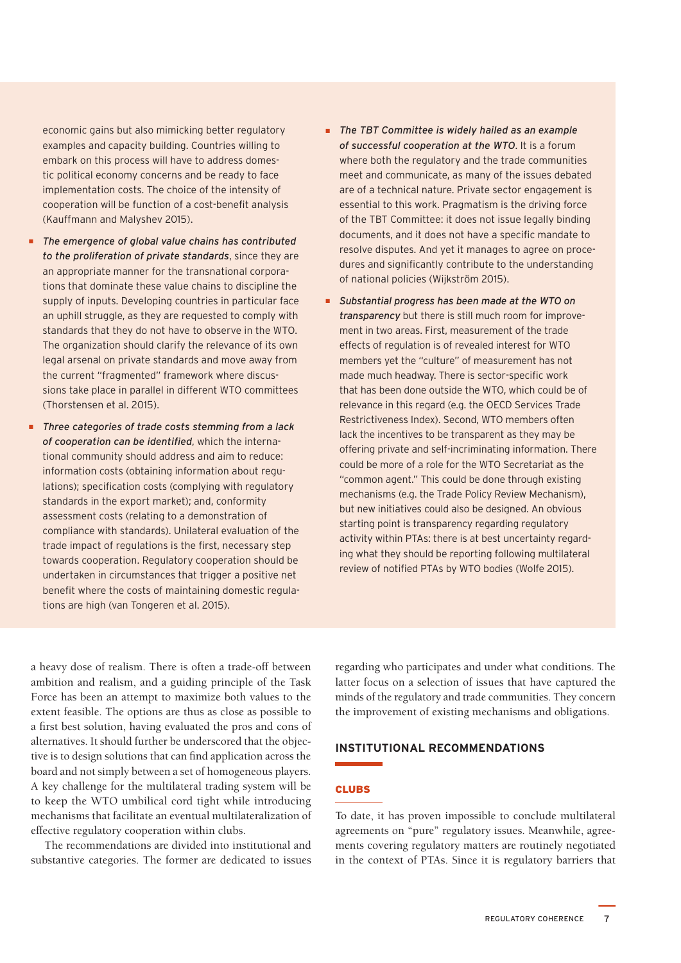economic gains but also mimicking better regulatory examples and capacity building. Countries willing to embark on this process will have to address domestic political economy concerns and be ready to face implementation costs. The choice of the intensity of cooperation will be function of a cost-benefit analysis (Kauffmann and Malyshev 2015).

- *The emergence of global value chains has contributed to the proliferation of private standards*, since they are an appropriate manner for the transnational corporations that dominate these value chains to discipline the supply of inputs. Developing countries in particular face an uphill struggle, as they are requested to comply with standards that they do not have to observe in the WTO. The organization should clarify the relevance of its own legal arsenal on private standards and move away from the current "fragmented" framework where discussions take place in parallel in different WTO committees (Thorstensen et al. 2015).
- *Three categories of trade costs stemming from a lack of cooperation can be identified*, which the international community should address and aim to reduce: information costs (obtaining information about regulations); specification costs (complying with regulatory standards in the export market); and, conformity assessment costs (relating to a demonstration of compliance with standards). Unilateral evaluation of the trade impact of regulations is the first, necessary step towards cooperation. Regulatory cooperation should be undertaken in circumstances that trigger a positive net benefit where the costs of maintaining domestic regulations are high (van Tongeren et al. 2015).
- *The TBT Committee is widely hailed as an example of successful cooperation at the WTO*. It is a forum where both the regulatory and the trade communities meet and communicate, as many of the issues debated are of a technical nature. Private sector engagement is essential to this work. Pragmatism is the driving force of the TBT Committee: it does not issue legally binding documents, and it does not have a specific mandate to resolve disputes. And yet it manages to agree on procedures and significantly contribute to the understanding of national policies (Wijkström 2015).
- *Substantial progress has been made at the WTO on transparency* but there is still much room for improvement in two areas. First, measurement of the trade effects of regulation is of revealed interest for WTO members yet the "culture" of measurement has not made much headway. There is sector-specific work that has been done outside the WTO, which could be of relevance in this regard (e.g. the OECD Services Trade Restrictiveness Index). Second, WTO members often lack the incentives to be transparent as they may be offering private and self-incriminating information. There could be more of a role for the WTO Secretariat as the "common agent." This could be done through existing mechanisms (e.g. the Trade Policy Review Mechanism), but new initiatives could also be designed. An obvious starting point is transparency regarding regulatory activity within PTAs: there is at best uncertainty regarding what they should be reporting following multilateral review of notified PTAs by WTO bodies (Wolfe 2015).

a heavy dose of realism. There is often a trade-off between ambition and realism, and a guiding principle of the Task Force has been an attempt to maximize both values to the extent feasible. The options are thus as close as possible to a first best solution, having evaluated the pros and cons of alternatives. It should further be underscored that the objective is to design solutions that can find application across the board and not simply between a set of homogeneous players. A key challenge for the multilateral trading system will be to keep the WTO umbilical cord tight while introducing mechanisms that facilitate an eventual multilateralization of effective regulatory cooperation within clubs.

The recommendations are divided into institutional and substantive categories. The former are dedicated to issues

regarding who participates and under what conditions. The latter focus on a selection of issues that have captured the minds of the regulatory and trade communities. They concern the improvement of existing mechanisms and obligations.

## **INSTITUTIONAL RECOMMENDATIONS**

#### **CLUBS**

To date, it has proven impossible to conclude multilateral agreements on "pure" regulatory issues. Meanwhile, agreements covering regulatory matters are routinely negotiated in the context of PTAs. Since it is regulatory barriers that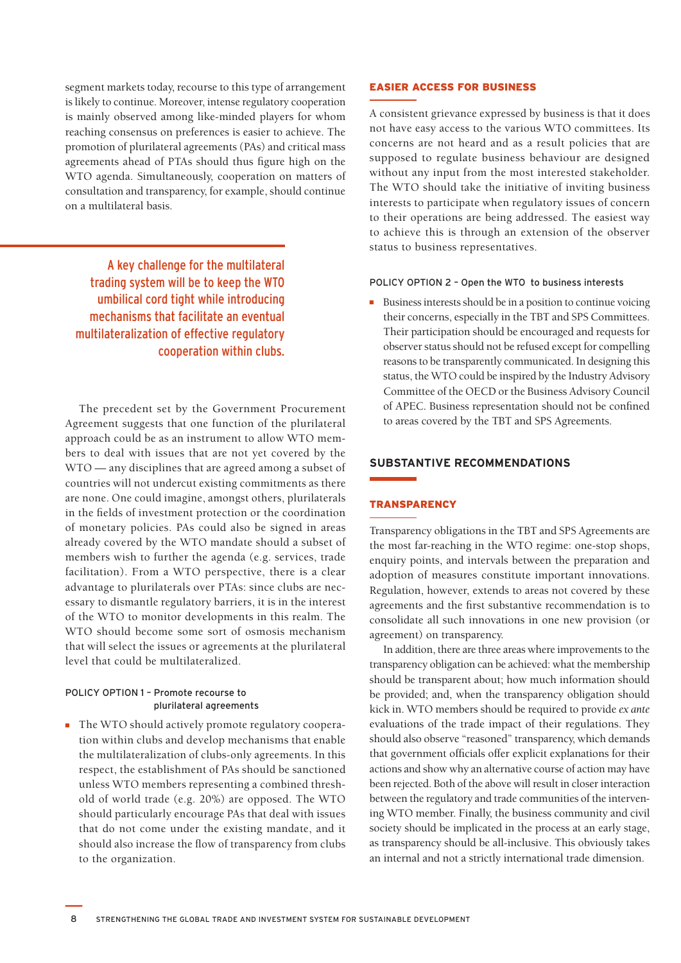segment markets today, recourse to this type of arrangement is likely to continue. Moreover, intense regulatory cooperation is mainly observed among like-minded players for whom reaching consensus on preferences is easier to achieve. The promotion of plurilateral agreements (PAs) and critical mass agreements ahead of PTAs should thus figure high on the WTO agenda. Simultaneously, cooperation on matters of consultation and transparency, for example, should continue on a multilateral basis.

 A key challenge for the multilateral trading system will be to keep the WTO umbilical cord tight while introducing mechanisms that facilitate an eventual multilateralization of effective regulatory cooperation within clubs.

The precedent set by the Government Procurement Agreement suggests that one function of the plurilateral approach could be as an instrument to allow WTO members to deal with issues that are not yet covered by the WTO — any disciplines that are agreed among a subset of countries will not undercut existing commitments as there are none. One could imagine, amongst others, plurilaterals in the fields of investment protection or the coordination of monetary policies. PAs could also be signed in areas already covered by the WTO mandate should a subset of members wish to further the agenda (e.g. services, trade facilitation). From a WTO perspective, there is a clear advantage to plurilaterals over PTAs: since clubs are necessary to dismantle regulatory barriers, it is in the interest of the WTO to monitor developments in this realm. The WTO should become some sort of osmosis mechanism that will select the issues or agreements at the plurilateral level that could be multilateralized.

#### POLICY OPTION 1 – Promote recourse to plurilateral agreements

■ The WTO should actively promote regulatory cooperation within clubs and develop mechanisms that enable the multilateralization of clubs-only agreements. In this respect, the establishment of PAs should be sanctioned unless WTO members representing a combined threshold of world trade (e.g. 20%) are opposed. The WTO should particularly encourage PAs that deal with issues that do not come under the existing mandate, and it should also increase the flow of transparency from clubs to the organization.

#### EASIER ACCESS FOR BUSINESS

A consistent grievance expressed by business is that it does not have easy access to the various WTO committees. Its concerns are not heard and as a result policies that are supposed to regulate business behaviour are designed without any input from the most interested stakeholder. The WTO should take the initiative of inviting business interests to participate when regulatory issues of concern to their operations are being addressed. The easiest way to achieve this is through an extension of the observer status to business representatives.

#### POLICY OPTION 2 – Open the WTO to business interests

■ Business interests should be in a position to continue voicing their concerns, especially in the TBT and SPS Committees. Their participation should be encouraged and requests for observer status should not be refused except for compelling reasons to be transparently communicated. In designing this status, the WTO could be inspired by the Industry Advisory Committee of the OECD or the Business Advisory Council of APEC. Business representation should not be confined to areas covered by the TBT and SPS Agreements.

## **SUBSTANTIVE RECOMMENDATIONS**

#### **TRANSPARENCY**

Transparency obligations in the TBT and SPS Agreements are the most far-reaching in the WTO regime: one-stop shops, enquiry points, and intervals between the preparation and adoption of measures constitute important innovations. Regulation, however, extends to areas not covered by these agreements and the first substantive recommendation is to consolidate all such innovations in one new provision (or agreement) on transparency.

In addition, there are three areas where improvements to the transparency obligation can be achieved: what the membership should be transparent about; how much information should be provided; and, when the transparency obligation should kick in. WTO members should be required to provide *ex ante* evaluations of the trade impact of their regulations. They should also observe "reasoned" transparency, which demands that government officials offer explicit explanations for their actions and show why an alternative course of action may have been rejected. Both of the above will result in closer interaction between the regulatory and trade communities of the intervening WTO member. Finally, the business community and civil society should be implicated in the process at an early stage, as transparency should be all-inclusive. This obviously takes an internal and not a strictly international trade dimension.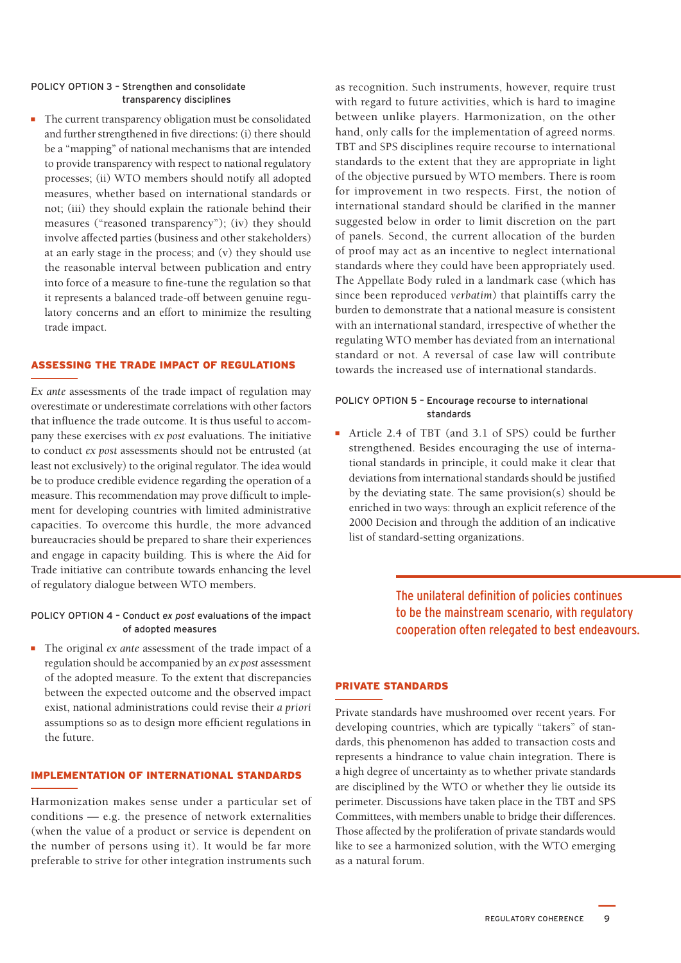#### POLICY OPTION 3 – Strengthen and consolidate transparency disciplines

■ The current transparency obligation must be consolidated and further strengthened in five directions: (i) there should be a "mapping" of national mechanisms that are intended to provide transparency with respect to national regulatory processes; (ii) WTO members should notify all adopted measures, whether based on international standards or not; (iii) they should explain the rationale behind their measures ("reasoned transparency"); (iv) they should involve affected parties (business and other stakeholders) at an early stage in the process; and (v) they should use the reasonable interval between publication and entry into force of a measure to fine-tune the regulation so that it represents a balanced trade-off between genuine regulatory concerns and an effort to minimize the resulting trade impact.

#### ASSESSING THE TRADE IMPACT OF REGULATIONS

*Ex ante* assessments of the trade impact of regulation may overestimate or underestimate correlations with other factors that influence the trade outcome. It is thus useful to accompany these exercises with *ex post* evaluations. The initiative to conduct *ex post* assessments should not be entrusted (at least not exclusively) to the original regulator. The idea would be to produce credible evidence regarding the operation of a measure. This recommendation may prove difficult to implement for developing countries with limited administrative capacities. To overcome this hurdle, the more advanced bureaucracies should be prepared to share their experiences and engage in capacity building. This is where the Aid for Trade initiative can contribute towards enhancing the level of regulatory dialogue between WTO members.

#### POLICY OPTION 4 – Conduct *ex post* evaluations of the impact of adopted measures

■ The original *ex ante* assessment of the trade impact of a regulation should be accompanied by an *ex post* assessment of the adopted measure. To the extent that discrepancies between the expected outcome and the observed impact exist, national administrations could revise their *a priori* assumptions so as to design more efficient regulations in the future.

## IMPLEMENTATION OF INTERNATIONAL STANDARDS

Harmonization makes sense under a particular set of conditions — e.g. the presence of network externalities (when the value of a product or service is dependent on the number of persons using it). It would be far more preferable to strive for other integration instruments such

as recognition. Such instruments, however, require trust with regard to future activities, which is hard to imagine between unlike players. Harmonization, on the other hand, only calls for the implementation of agreed norms. TBT and SPS disciplines require recourse to international standards to the extent that they are appropriate in light of the objective pursued by WTO members. There is room for improvement in two respects. First, the notion of international standard should be clarified in the manner suggested below in order to limit discretion on the part of panels. Second, the current allocation of the burden of proof may act as an incentive to neglect international standards where they could have been appropriately used. The Appellate Body ruled in a landmark case (which has since been reproduced *verbatim*) that plaintiffs carry the burden to demonstrate that a national measure is consistent with an international standard, irrespective of whether the regulating WTO member has deviated from an international standard or not. A reversal of case law will contribute towards the increased use of international standards.

#### POLICY OPTION 5 – Encourage recourse to international standards

■ Article 2.4 of TBT (and 3.1 of SPS) could be further strengthened. Besides encouraging the use of international standards in principle, it could make it clear that deviations from international standards should be justified by the deviating state. The same provision(s) should be enriched in two ways: through an explicit reference of the 2000 Decision and through the addition of an indicative list of standard-setting organizations.

> The unilateral definition of policies continues to be the mainstream scenario, with regulatory cooperation often relegated to best endeavours.

## PRIVATE STANDARDS

Private standards have mushroomed over recent years. For developing countries, which are typically "takers" of standards, this phenomenon has added to transaction costs and represents a hindrance to value chain integration. There is a high degree of uncertainty as to whether private standards are disciplined by the WTO or whether they lie outside its perimeter. Discussions have taken place in the TBT and SPS Committees, with members unable to bridge their differences. Those affected by the proliferation of private standards would like to see a harmonized solution, with the WTO emerging as a natural forum.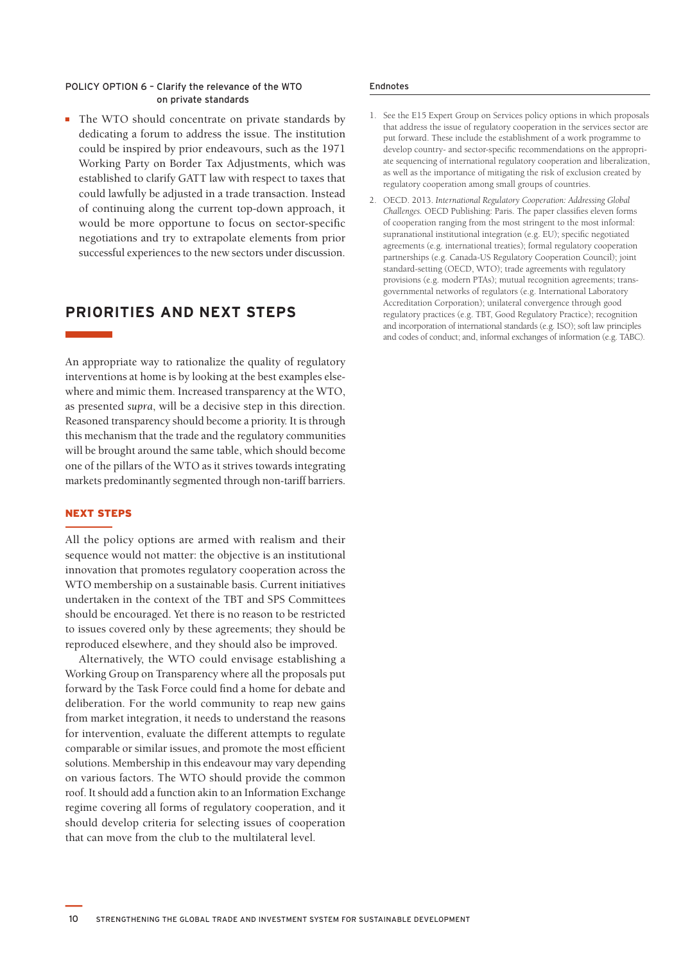#### POLICY OPTION 6 – Clarify the relevance of the WTO on private standards

The WTO should concentrate on private standards by dedicating a forum to address the issue. The institution could be inspired by prior endeavours, such as the 1971 Working Party on Border Tax Adjustments, which was established to clarify GATT law with respect to taxes that could lawfully be adjusted in a trade transaction. Instead of continuing along the current top-down approach, it would be more opportune to focus on sector-specific negotiations and try to extrapolate elements from prior successful experiences to the new sectors under discussion.

## **PRIORITIES AND NEXT STEPS**

An appropriate way to rationalize the quality of regulatory interventions at home is by looking at the best examples elsewhere and mimic them. Increased transparency at the WTO, as presented *supra*, will be a decisive step in this direction. Reasoned transparency should become a priority. It is through this mechanism that the trade and the regulatory communities will be brought around the same table, which should become one of the pillars of the WTO as it strives towards integrating markets predominantly segmented through non-tariff barriers.

#### NEXT STEPS

All the policy options are armed with realism and their sequence would not matter: the objective is an institutional innovation that promotes regulatory cooperation across the WTO membership on a sustainable basis. Current initiatives undertaken in the context of the TBT and SPS Committees should be encouraged. Yet there is no reason to be restricted to issues covered only by these agreements; they should be reproduced elsewhere, and they should also be improved.

Alternatively, the WTO could envisage establishing a Working Group on Transparency where all the proposals put forward by the Task Force could find a home for debate and deliberation. For the world community to reap new gains from market integration, it needs to understand the reasons for intervention, evaluate the different attempts to regulate comparable or similar issues, and promote the most efficient solutions. Membership in this endeavour may vary depending on various factors. The WTO should provide the common roof. It should add a function akin to an Information Exchange regime covering all forms of regulatory cooperation, and it should develop criteria for selecting issues of cooperation that can move from the club to the multilateral level.

#### Endnotes

- 1. See the E15 Expert Group on Services policy options in which proposals that address the issue of regulatory cooperation in the services sector are put forward. These include the establishment of a work programme to develop country- and sector-specific recommendations on the appropriate sequencing of international regulatory cooperation and liberalization, as well as the importance of mitigating the risk of exclusion created by regulatory cooperation among small groups of countries.
- 2. OECD. 2013. *International Regulatory Cooperation: Addressing Global Challenges.* OECD Publishing: Paris. The paper classifies eleven forms of cooperation ranging from the most stringent to the most informal: supranational institutional integration (e.g. EU); specific negotiated agreements (e.g. international treaties); formal regulatory cooperation partnerships (e.g. Canada-US Regulatory Cooperation Council); joint standard-setting (OECD, WTO); trade agreements with regulatory provisions (e.g. modern PTAs); mutual recognition agreements; transgovernmental networks of regulators (e.g. International Laboratory Accreditation Corporation); unilateral convergence through good regulatory practices (e.g. TBT, Good Regulatory Practice); recognition and incorporation of international standards (e.g. ISO); soft law principles and codes of conduct; and, informal exchanges of information (e.g. TABC).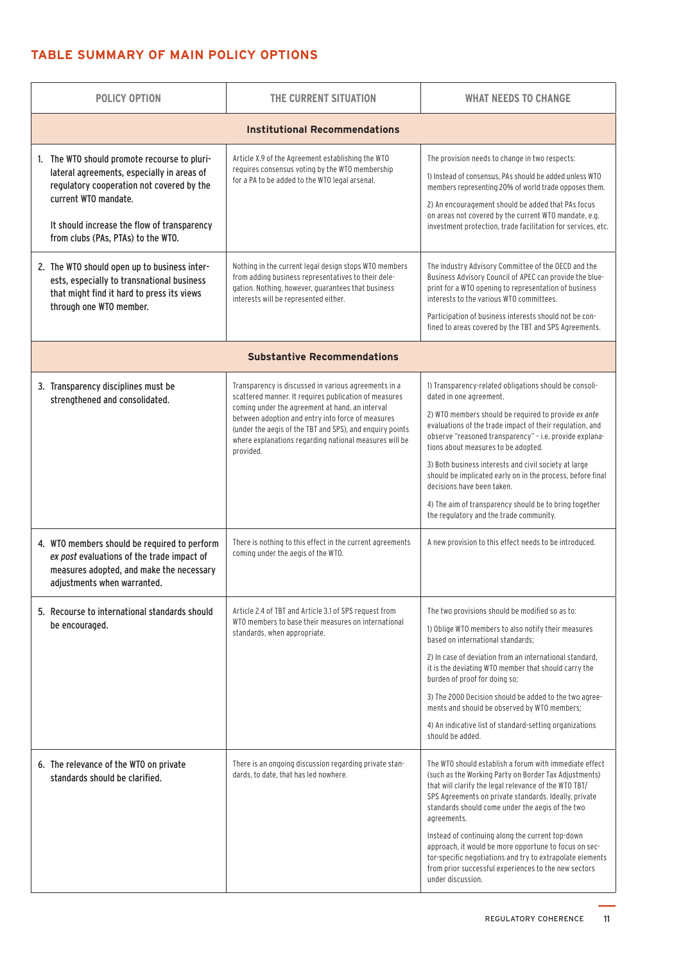## **TABLE SUMMARY OF MAIN POLICY OPTIONS**

| <b>POLICY OPTION</b>                                                                                                                                                                                                                                 | THE CURRENT SITUATION                                                                                                                                                                                                                                                                                                                                    | <b>WHAT NEEDS TO CHANGE</b>                                                                                                                                                                                                                                                                                                                                                                                                                                                                                                                                       |  |
|------------------------------------------------------------------------------------------------------------------------------------------------------------------------------------------------------------------------------------------------------|----------------------------------------------------------------------------------------------------------------------------------------------------------------------------------------------------------------------------------------------------------------------------------------------------------------------------------------------------------|-------------------------------------------------------------------------------------------------------------------------------------------------------------------------------------------------------------------------------------------------------------------------------------------------------------------------------------------------------------------------------------------------------------------------------------------------------------------------------------------------------------------------------------------------------------------|--|
| <b>Institutional Recommendations</b>                                                                                                                                                                                                                 |                                                                                                                                                                                                                                                                                                                                                          |                                                                                                                                                                                                                                                                                                                                                                                                                                                                                                                                                                   |  |
| 1. The WTO should promote recourse to pluri-<br>lateral agreements, especially in areas of<br>regulatory cooperation not covered by the<br>current WTO mandate.<br>It should increase the flow of transparency<br>from clubs (PAs, PTAs) to the WTO. | Article X.9 of the Agreement establishing the WTO<br>requires consensus voting by the WTO membership<br>for a PA to be added to the WTO legal arsenal.                                                                                                                                                                                                   | The provision needs to change in two respects:<br>1) Instead of consensus, PAs should be added unless WTO<br>members representing 20% of world trade opposes them.<br>2) An encouragement should be added that PAs focus<br>on areas not covered by the current WTO mandate, e.g.<br>investment protection, trade facilitation for services, etc.                                                                                                                                                                                                                 |  |
| 2. The WTO should open up to business inter-<br>ests, especially to transnational business<br>that might find it hard to press its views<br>through one WTO member.                                                                                  | Nothing in the current legal design stops WTO members<br>from adding business representatives to their dele-<br>gation. Nothing, however, guarantees that business<br>interests will be represented either.                                                                                                                                              | The Industry Advisory Committee of the OECD and the<br>Business Advisory Council of APEC can provide the blue-<br>print for a WTO opening to representation of business<br>interests to the various WTO committees.<br>Participation of business interests should not be con-<br>fined to areas covered by the TBT and SPS Agreements.                                                                                                                                                                                                                            |  |
| <b>Substantive Recommendations</b>                                                                                                                                                                                                                   |                                                                                                                                                                                                                                                                                                                                                          |                                                                                                                                                                                                                                                                                                                                                                                                                                                                                                                                                                   |  |
| 3. Transparency disciplines must be<br>strengthened and consolidated.                                                                                                                                                                                | Transparency is discussed in various agreements in a<br>scattered manner. It requires publication of measures<br>coming under the agreement at hand, an interval<br>between adoption and entry into force of measures<br>(under the aegis of the TBT and SPS), and enquiry points<br>where explanations regarding national measures will be<br>provided. | 1) Transparency-related obligations should be consoli-<br>dated in one agreement.<br>2) WTO members should be required to provide ex ante<br>evaluations of the trade impact of their regulation, and<br>observe "reasoned transparency" - i.e. provide explana-<br>tions about measures to be adopted.<br>3) Both business interests and civil society at large<br>should be implicated early on in the process, before final<br>decisions have been taken.<br>4) The aim of transparency should be to bring together<br>the regulatory and the trade community. |  |
| 4. WTO members should be required to perform<br>ex post evaluations of the trade impact of<br>measures adopted, and make the necessary<br>adjustments when warranted.                                                                                | There is nothing to this effect in the current agreements<br>coming under the aegis of the WTO.                                                                                                                                                                                                                                                          | A new provision to this effect needs to be introduced.                                                                                                                                                                                                                                                                                                                                                                                                                                                                                                            |  |
| 5. Recourse to international standards should<br>be encouraged.                                                                                                                                                                                      | Article 2.4 of TBT and Article 3.1 of SPS request from<br>WTO members to base their measures on international<br>standards, when appropriate.                                                                                                                                                                                                            | The two provisions should be modified so as to:<br>1) Oblige WTO members to also notify their measures<br>based on international standards:<br>2) In case of deviation from an international standard.<br>it is the deviating WTO member that should carry the<br>burden of proof for doing so;<br>3) The 2000 Decision should be added to the two agree-<br>ments and should be observed by WTO members;<br>4) An indicative list of standard-setting organizations<br>should be added.                                                                          |  |
| 6. The relevance of the WTO on private<br>standards should be clarified.                                                                                                                                                                             | There is an ongoing discussion regarding private stan-<br>dards, to date, that has led nowhere.                                                                                                                                                                                                                                                          | The WTO should establish a forum with immediate effect<br>(such as the Working Party on Border Tax Adjustments)<br>that will clarify the legal relevance of the WTO TBT/<br>SPS Agreements on private standards. Ideally, private<br>standards should come under the aegis of the two<br>agreements.<br>Instead of continuing along the current top-down<br>approach, it would be more opportune to focus on sec-<br>tor-specific negotiations and try to extrapolate elements<br>from prior successful experiences to the new sectors<br>under discussion.       |  |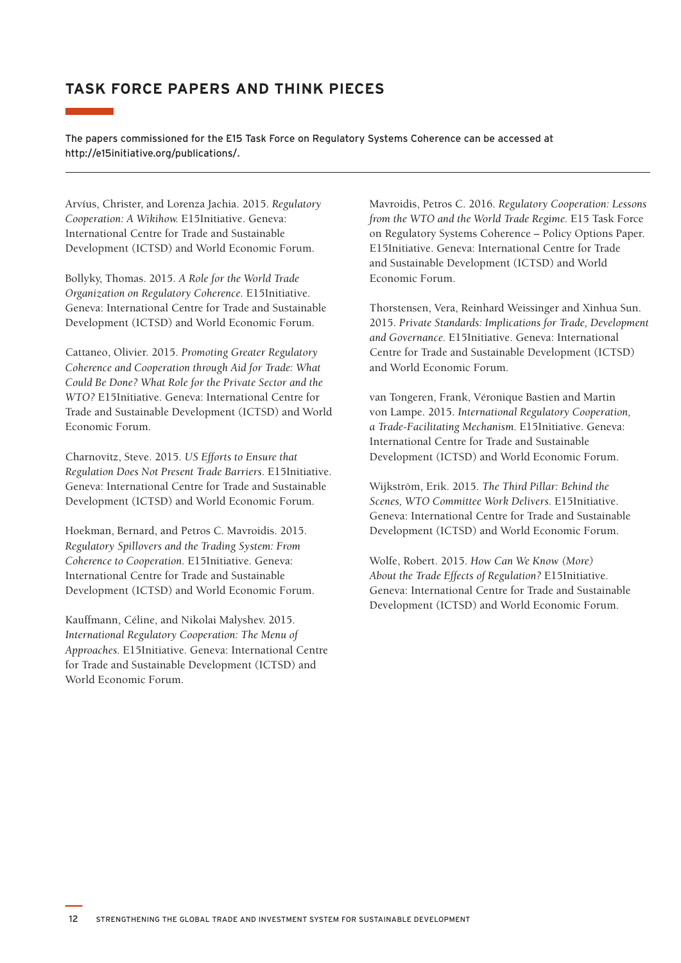# **TASK FORCE PAPERS AND THINK PIECES**

The papers commissioned for the E15 Task Force on Regulatory Systems Coherence can be accessed at http://e15initiative.org/publications/.

Arvíus, Christer, and Lorenza Jachia. 2015. *Regulatory Cooperation: A Wikihow.* E15Initiative. Geneva: International Centre for Trade and Sustainable Development (ICTSD) and World Economic Forum.

Bollyky, Thomas. 2015. *A Role for the World Trade Organization on Regulatory Coherence.* E15Initiative. Geneva: International Centre for Trade and Sustainable Development (ICTSD) and World Economic Forum.

Cattaneo, Olivier. 2015. *Promoting Greater Regulatory Coherence and Cooperation through Aid for Trade: What Could Be Done? What Role for the Private Sector and the WTO?* E15Initiative. Geneva: International Centre for Trade and Sustainable Development (ICTSD) and World Economic Forum.

Charnovitz, Steve. 2015. *US Efforts to Ensure that Regulation Does Not Present Trade Barriers.* E15Initiative. Geneva: International Centre for Trade and Sustainable Development (ICTSD) and World Economic Forum.

Hoekman, Bernard, and Petros C. Mavroidis. 2015. *Regulatory Spillovers and the Trading System: From Coherence to Cooperation.* E15Initiative. Geneva: International Centre for Trade and Sustainable Development (ICTSD) and World Economic Forum.

Kauffmann, Céline, and Nikolai Malyshev. 2015. *International Regulatory Cooperation: The Menu of Approaches.* E15Initiative. Geneva: International Centre for Trade and Sustainable Development (ICTSD) and World Economic Forum.

Mavroidis, Petros C. 2016. *Regulatory Cooperation: Lessons from the WTO and the World Trade Regime.* E15 Task Force on Regulatory Systems Coherence – Policy Options Paper. E15Initiative. Geneva: International Centre for Trade and Sustainable Development (ICTSD) and World Economic Forum.

Thorstensen, Vera, Reinhard Weissinger and Xinhua Sun. 2015. *Private Standards: Implications for Trade, Development and Governance.* E15Initiative. Geneva: International Centre for Trade and Sustainable Development (ICTSD) and World Economic Forum.

van Tongeren, Frank, Véronique Bastien and Martin von Lampe. 2015. *International Regulatory Cooperation, a Trade-Facilitating Mechanism.* E15Initiative. Geneva: International Centre for Trade and Sustainable Development (ICTSD) and World Economic Forum.

Wijkström, Erik. 2015. *The Third Pillar: Behind the Scenes, WTO Committee Work Delivers.* E15Initiative. Geneva: International Centre for Trade and Sustainable Development (ICTSD) and World Economic Forum.

Wolfe, Robert. 2015. *How Can We Know (More) About the Trade Effects of Regulation?* E15Initiative. Geneva: International Centre for Trade and Sustainable Development (ICTSD) and World Economic Forum.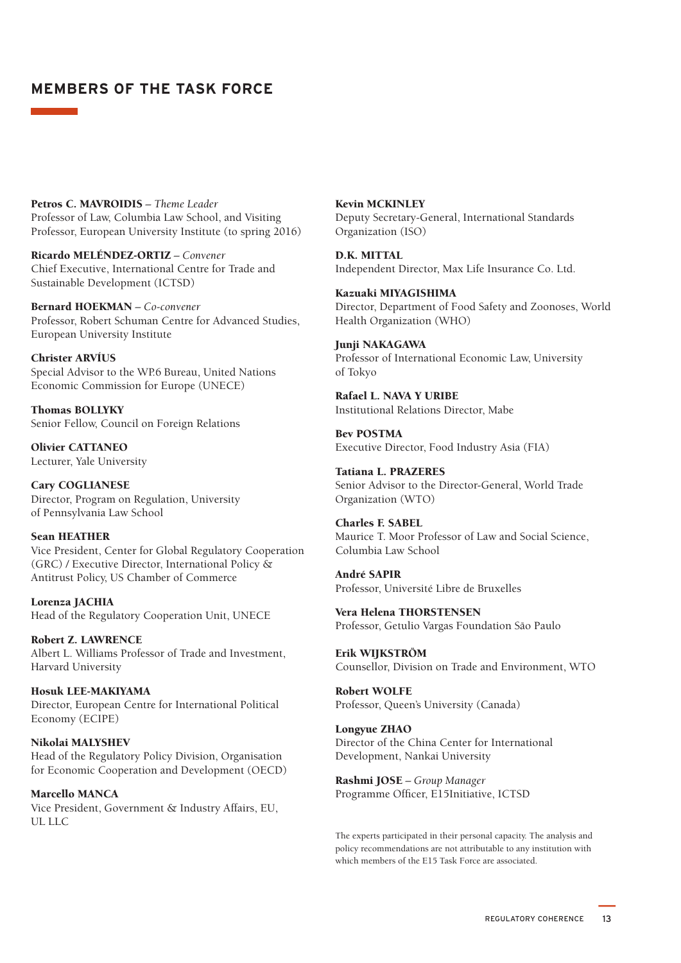# **MEMBERS OF THE TASK FORCE**

Petros C. MAVROIDIS *– Theme Leader* Professor of Law, Columbia Law School, and Visiting Professor, European University Institute (to spring 2016)

Ricardo MELÉNDEZ-ORTIZ *– Convener* Chief Executive, International Centre for Trade and Sustainable Development (ICTSD)

Bernard HOEKMAN *– Co-convener* Professor, Robert Schuman Centre for Advanced Studies, European University Institute

Christer ARVÍUS Special Advisor to the WP.6 Bureau, United Nations Economic Commission for Europe (UNECE)

Thomas BOLLYKY Senior Fellow, Council on Foreign Relations

Olivier CATTANEO Lecturer, Yale University

Cary COGLIANESE Director, Program on Regulation, University of Pennsylvania Law School

#### Sean HEATHER

Vice President, Center for Global Regulatory Cooperation (GRC) / Executive Director, International Policy & Antitrust Policy, US Chamber of Commerce

Lorenza JACHIA Head of the Regulatory Cooperation Unit, UNECE

Robert Z. LAWRENCE Albert L. Williams Professor of Trade and Investment, Harvard University

Hosuk LEE-MAKIYAMA Director, European Centre for International Political Economy (ECIPE)

#### Nikolai MALYSHEV

Head of the Regulatory Policy Division, Organisation for Economic Cooperation and Development (OECD)

Marcello MANCA

Vice President, Government & Industry Affairs, EU, UL LLC

Kevin MCKINLEY Deputy Secretary-General, International Standards Organization (ISO)

D.K. MITTAL Independent Director, Max Life Insurance Co. Ltd.

Kazuaki MIYAGISHIMA Director, Department of Food Safety and Zoonoses, World Health Organization (WHO)

Junji NAKAGAWA Professor of International Economic Law, University of Tokyo

Rafael L. NAVA Y URIBE Institutional Relations Director, Mabe

Bev POSTMA Executive Director, Food Industry Asia (FIA)

Tatiana L. PRAZERES Senior Advisor to the Director-General, World Trade Organization (WTO)

Charles F. SABEL Maurice T. Moor Professor of Law and Social Science, Columbia Law School

André SAPIR Professor, Université Libre de Bruxelles

Vera Helena THORSTENSEN Professor, Getulio Vargas Foundation São Paulo

Erik WIJKSTRÖM Counsellor, Division on Trade and Environment, WTO

Robert WOLFE Professor, Queen's University (Canada)

Longyue ZHAO Director of the China Center for International Development, Nankai University

Rashmi JOSE *– Group Manager* Programme Officer, E15Initiative, ICTSD

The experts participated in their personal capacity. The analysis and policy recommendations are not attributable to any institution with which members of the E15 Task Force are associated.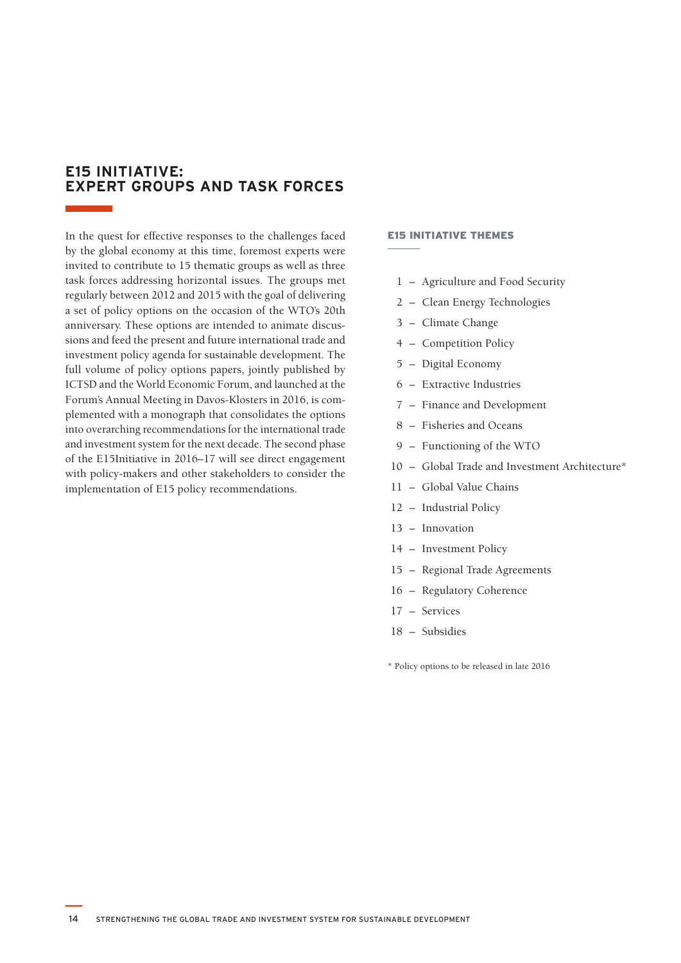## **E15 INITIATIVE: EXPERT GROUPS AND TASK FORCES**

In the quest for effective responses to the challenges faced by the global economy at this time, foremost experts were invited to contribute to 15 thematic groups as well as three task forces addressing horizontal issues. The groups met regularly between 2012 and 2015 with the goal of delivering a set of policy options on the occasion of the WTO's 20th anniversary. These options are intended to animate discussions and feed the present and future international trade and investment policy agenda for sustainable development. The full volume of policy options papers, jointly published by ICTSD and the World Economic Forum, and launched at the Forum's Annual Meeting in Davos-Klosters in 2016, is complemented with a monograph that consolidates the options into overarching recommendations for the international trade and investment system for the next decade. The second phase of the E15Initiative in 2016–17 will see direct engagement with policy-makers and other stakeholders to consider the implementation of E15 policy recommendations.

#### E15 INITIATIVE THEMES

- 1 Agriculture and Food Security
- 2 Clean Energy Technologies
- 3 Climate Change
- 4 Competition Policy
- 5 Digital Economy
- 6 Extractive Industries
- 7 Finance and Development
- 8 Fisheries and Oceans
- 9 Functioning of the WTO
- 10 Global Trade and Investment Architecture\*
- 11 Global Value Chains
- 12 Industrial Policy
- 13 Innovation
- 14 Investment Policy
- 15 Regional Trade Agreements
- 16 Regulatory Coherence
- 17 Services
- 18 Subsidies

\* Policy options to be released in late 2016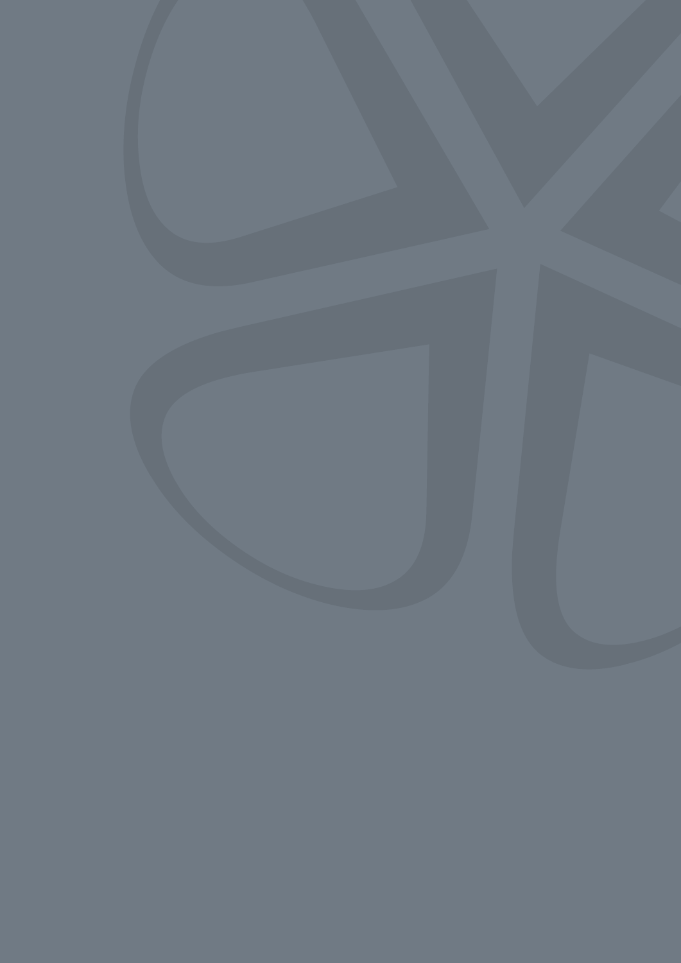